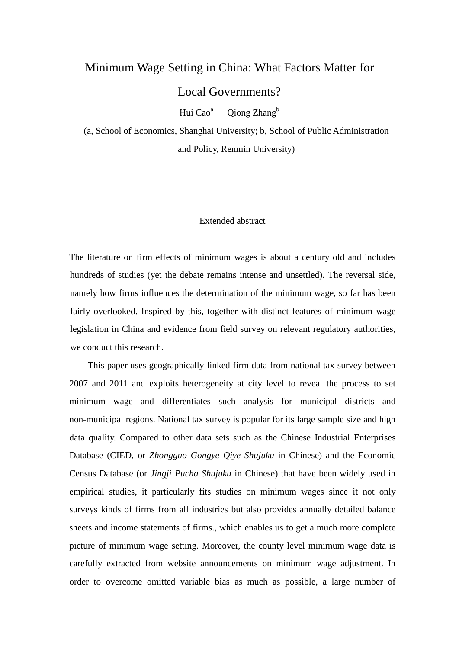## Minimum Wage Setting in China: What Factors Matter for

Local Governments?

Hui Cao<sup>a</sup> Qiong Zhang<sup>b</sup>

(a, School of Economics, Shanghai University; b, School of Public Administration and Policy, Renmin University)

## Extended abstract

The literature on firm effects of minimum wages is about a century old and includes hundreds of studies (yet the debate remains intense and unsettled). The reversal side, namely how firms influences the determination of the minimum wage, so far has been fairly overlooked. Inspired by this, together with distinct features of minimum wage legislation in China and evidence from field survey on relevant regulatory authorities, we conduct this research.

This paper uses geographically-linked firm data from national tax survey between 2007 and 2011 and exploits heterogeneity at city level to reveal the process to set minimum wage and differentiates such analysis for municipal districts and non-municipal regions. National tax survey is popular for its large sample size and high data quality. Compared to other data sets such as the Chinese Industrial Enterprises Database (CIED, or *Zhongguo Gongye Qiye Shujuku* in Chinese) and the Economic Census Database (or *Jingji Pucha Shujuku* in Chinese) that have been widely used in empirical studies, it particularly fits studies on minimum wages since it not only surveys kinds of firms from all industries but also provides annually detailed balance sheets and income statements of firms., which enables us to get a much more complete picture of minimum wage setting. Moreover, the county level minimum wage data is carefully extracted from website announcements on minimum wage adjustment. In order to overcome omitted variable bias as much as possible, a large number of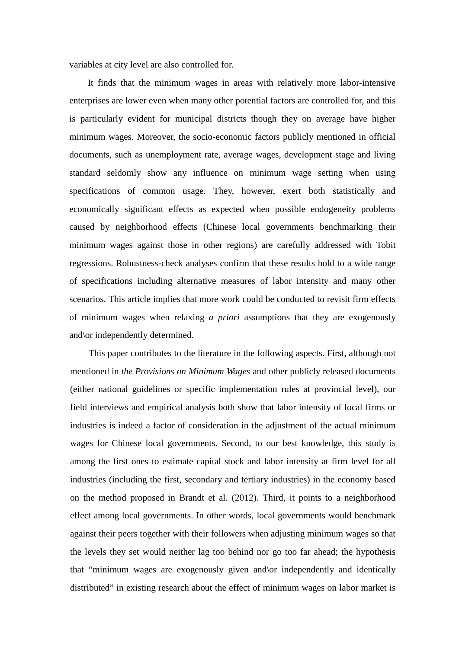variables at city level are also controlled for.

It finds that the minimum wages in areas with relatively more labor-intensive enterprises are lower even when many other potential factors are controlled for, and this is particularly evident for municipal districts though they on average have higher minimum wages. Moreover, the socio-economic factors publicly mentioned in official documents, such as unemployment rate, average wages, development stage and living standard seldomly show any influence on minimum wage setting when using specifications of common usage. They, however, exert both statistically and economically significant effects as expected when possible endogeneity problems caused by neighborhood effects (Chinese local governments benchmarking their minimum wages against those in other regions) are carefully addressed with Tobit regressions. Robustness-check analyses confirm that these results hold to a wide range of specifications including alternative measures of labor intensity and many other scenarios. This article implies that more work could be conducted to revisit firm effects of minimum wages when relaxing *a priori* assumptions that they are exogenously and\or independently determined.

This paper contributes to the literature in the following aspects. First, although not mentioned in *the Provisions on Minimum Wages* and other publicly released documents (either national guidelines or specific implementation rules at provincial level), our field interviews and empirical analysis both show that labor intensity of local firms or industries is indeed a factor of consideration in the adjustment of the actual minimum wages for Chinese local governments. Second, to our best knowledge, this study is among the first ones to estimate capital stock and labor intensity at firm level for all industries (including the first, secondary and tertiary industries) in the economy based on the method proposed in Brandt et al. (2012). Third, it points to a neighborhood effect among local governments. In other words, local governments would benchmark against their peers together with their followers when adjusting minimum wages so that the levels they set would neither lag too behind nor go too far ahead; the hypothesis that "minimum wages are exogenously given and\or independently and identically distributed" in existing research about the effect of minimum wages on labor market is